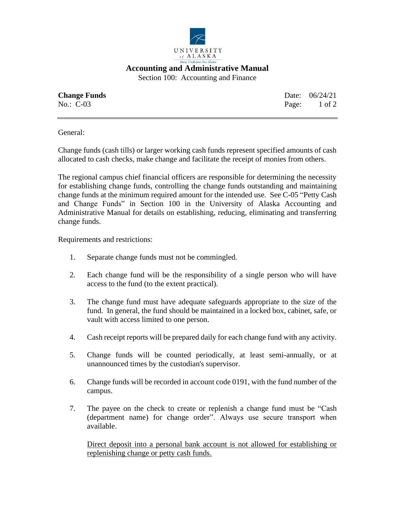

**Accounting and Administrative Manual**

Section 100: Accounting and Finance

| <b>Change Funds</b> | Date: 06/24/21 |
|---------------------|----------------|
| $No.: C-03$         | Page: 1 of 2   |

General:

Change funds (cash tills) or larger working cash funds represent specified amounts of cash allocated to cash checks, make change and facilitate the receipt of monies from others.

The regional campus chief financial officers are responsible for determining the necessity for establishing change funds, controlling the change funds outstanding and maintaining change funds at the minimum required amount for the intended use. See C-05 "Petty Cash and Change Funds" in Section 100 in the University of Alaska Accounting and Administrative Manual for details on establishing, reducing, eliminating and transferring change funds.

Requirements and restrictions:

- 1. Separate change funds must not be commingled.
- 2. Each change fund will be the responsibility of a single person who will have access to the fund (to the extent practical).
- 3. The change fund must have adequate safeguards appropriate to the size of the fund. In general, the fund should be maintained in a locked box, cabinet, safe, or vault with access limited to one person.
- 4. Cash receipt reports will be prepared daily for each change fund with any activity.
- 5. Change funds will be counted periodically, at least semi-annually, or at unannounced times by the custodian's supervisor.
- 6. Change funds will be recorded in account code 0191, with the fund number of the campus.
- 7. The payee on the check to create or replenish a change fund must be "Cash (department name) for change order". Always use secure transport when available.

Direct deposit into a personal bank account is not allowed for establishing or replenishing change or petty cash funds.